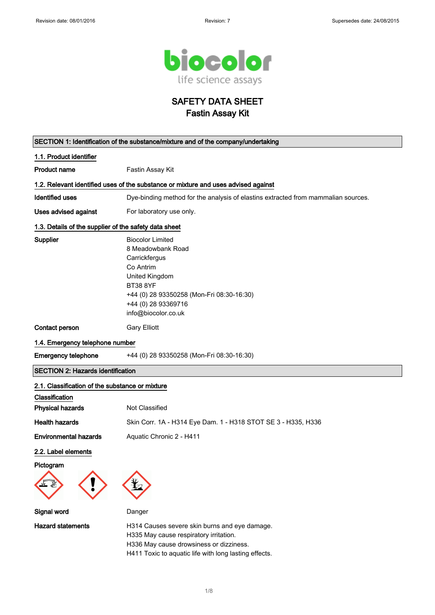

SAFETY DATA SHEET Fastin Assay Kit

| SECTION 1: Identification of the substance/mixture and of the company/undertaking  |                                                                                                                                                                                                            |  |
|------------------------------------------------------------------------------------|------------------------------------------------------------------------------------------------------------------------------------------------------------------------------------------------------------|--|
| 1.1. Product identifier                                                            |                                                                                                                                                                                                            |  |
| <b>Product name</b>                                                                | Fastin Assay Kit                                                                                                                                                                                           |  |
| 1.2. Relevant identified uses of the substance or mixture and uses advised against |                                                                                                                                                                                                            |  |
| <b>Identified uses</b>                                                             | Dye-binding method for the analysis of elastins extracted from mammalian sources.                                                                                                                          |  |
| Uses advised against                                                               | For laboratory use only.                                                                                                                                                                                   |  |
| 1.3. Details of the supplier of the safety data sheet                              |                                                                                                                                                                                                            |  |
| Supplier                                                                           | <b>Biocolor Limited</b><br>8 Meadowbank Road<br>Carrickfergus<br>Co Antrim<br>United Kingdom<br><b>BT38 8YF</b><br>+44 (0) 28 93350258 (Mon-Fri 08:30-16:30)<br>+44 (0) 28 93369716<br>info@biocolor.co.uk |  |
| Contact person                                                                     | <b>Gary Elliott</b>                                                                                                                                                                                        |  |
| 1.4. Emergency telephone number                                                    |                                                                                                                                                                                                            |  |
| <b>Emergency telephone</b>                                                         | +44 (0) 28 93350258 (Mon-Fri 08:30-16:30)                                                                                                                                                                  |  |
| <b>SECTION 2: Hazards identification</b>                                           |                                                                                                                                                                                                            |  |
| 2.1. Classification of the substance or mixture                                    |                                                                                                                                                                                                            |  |
| Classification<br><b>Physical hazards</b>                                          | Not Classified                                                                                                                                                                                             |  |
| <b>Health hazards</b>                                                              | Skin Corr. 1A - H314 Eye Dam. 1 - H318 STOT SE 3 - H335, H336                                                                                                                                              |  |
| <b>Environmental hazards</b>                                                       | Aquatic Chronic 2 - H411                                                                                                                                                                                   |  |
| 2.2. Label elements<br>Pictogram                                                   |                                                                                                                                                                                                            |  |
| Signal word                                                                        | Danger                                                                                                                                                                                                     |  |
| <b>Hazard statements</b>                                                           | H314 Causes severe skin burns and eye damage.<br>H335 May cause respiratory irritation.<br>H336 May cause drowsiness or dizziness.<br>H411 Toxic to aquatic life with long lasting effects.                |  |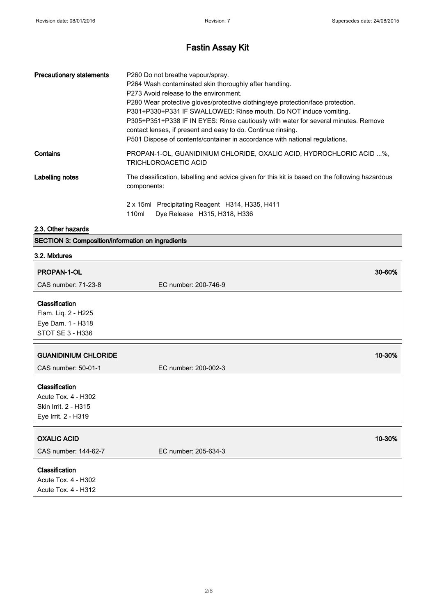| <b>Precautionary statements</b> | P260 Do not breathe vapour/spray.<br>P264 Wash contaminated skin thoroughly after handling.<br>P273 Avoid release to the environment.<br>P280 Wear protective gloves/protective clothing/eye protection/face protection.<br>P301+P330+P331 IF SWALLOWED: Rinse mouth. Do NOT induce vomiting.<br>P305+P351+P338 IF IN EYES: Rinse cautiously with water for several minutes. Remove<br>contact lenses, if present and easy to do. Continue rinsing.<br>P501 Dispose of contents/container in accordance with national regulations. |
|---------------------------------|------------------------------------------------------------------------------------------------------------------------------------------------------------------------------------------------------------------------------------------------------------------------------------------------------------------------------------------------------------------------------------------------------------------------------------------------------------------------------------------------------------------------------------|
| Contains                        | PROPAN-1-OL, GUANIDINIUM CHLORIDE, OXALIC ACID, HYDROCHLORIC ACID %,<br>TRICHLOROACETIC ACID                                                                                                                                                                                                                                                                                                                                                                                                                                       |
| Labelling notes                 | The classification, labelling and advice given for this kit is based on the following hazardous<br>components:                                                                                                                                                                                                                                                                                                                                                                                                                     |
|                                 | 2 x 15ml Precipitating Reagent H314, H335, H411<br>110ml<br>Dye Release H315, H318, H336                                                                                                                                                                                                                                                                                                                                                                                                                                           |

### 2.3. Other hazards

|  | <b>SECTION 3: Composition/information on ingredients</b> |  |
|--|----------------------------------------------------------|--|
|--|----------------------------------------------------------|--|

| 3.2. Mixtures                                                                        |                      |
|--------------------------------------------------------------------------------------|----------------------|
| PROPAN-1-OL                                                                          | 30-60%               |
| CAS number: 71-23-8                                                                  | EC number: 200-746-9 |
| Classification<br>Flam. Liq. 2 - H225<br>Eye Dam. 1 - H318<br>STOT SE 3 - H336       |                      |
| <b>GUANIDINIUM CHLORIDE</b>                                                          | 10-30%               |
| CAS number: 50-01-1                                                                  | EC number: 200-002-3 |
| Classification<br>Acute Tox. 4 - H302<br>Skin Irrit. 2 - H315<br>Eye Irrit. 2 - H319 |                      |
| <b>OXALIC ACID</b>                                                                   | 10-30%               |
| CAS number: 144-62-7                                                                 | EC number: 205-634-3 |
| Classification<br>Acute Tox. 4 - H302<br>Acute Tox. 4 - H312                         |                      |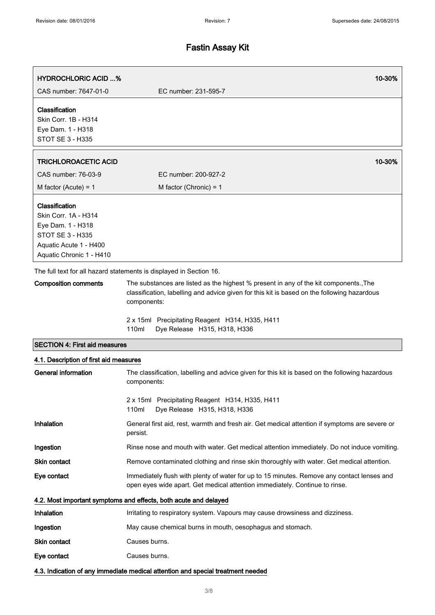| <b>HYDROCHLORIC ACID %</b><br>CAS number: 7647-01-0                                                                                          | 10-30%<br>EC number: 231-595-7                                                                                                                                                                                                                         |  |
|----------------------------------------------------------------------------------------------------------------------------------------------|--------------------------------------------------------------------------------------------------------------------------------------------------------------------------------------------------------------------------------------------------------|--|
|                                                                                                                                              |                                                                                                                                                                                                                                                        |  |
| Classification<br>Skin Corr. 1B - H314<br>Eye Dam. 1 - H318<br><b>STOT SE 3 - H335</b>                                                       |                                                                                                                                                                                                                                                        |  |
| <b>TRICHLOROACETIC ACID</b>                                                                                                                  | 10-30%                                                                                                                                                                                                                                                 |  |
| CAS number: 76-03-9                                                                                                                          | EC number: 200-927-2                                                                                                                                                                                                                                   |  |
| M factor (Acute) = $1$                                                                                                                       | M factor (Chronic) = $1$                                                                                                                                                                                                                               |  |
| Classification<br>Skin Corr. 1A - H314<br>Eye Dam. 1 - H318<br><b>STOT SE 3 - H335</b><br>Aquatic Acute 1 - H400<br>Aquatic Chronic 1 - H410 |                                                                                                                                                                                                                                                        |  |
|                                                                                                                                              | The full text for all hazard statements is displayed in Section 16.                                                                                                                                                                                    |  |
| <b>Composition comments</b>                                                                                                                  | The substances are listed as the highest % present in any of the kit components., The<br>classification, labelling and advice given for this kit is based on the following hazardous<br>components:<br>2 x 15ml Precipitating Reagent H314, H335, H411 |  |
|                                                                                                                                              | 110ml<br>Dye Release H315, H318, H336                                                                                                                                                                                                                  |  |
| <b>SECTION 4: First aid measures</b>                                                                                                         |                                                                                                                                                                                                                                                        |  |
| 4.1. Description of first aid measures                                                                                                       |                                                                                                                                                                                                                                                        |  |
| <b>General information</b>                                                                                                                   | The classification, labelling and advice given for this kit is based on the following hazardous<br>components:                                                                                                                                         |  |
|                                                                                                                                              | 2 x 15ml Precipitating Reagent H314, H335, H411<br>Dye Release H315, H318, H336<br>110ml                                                                                                                                                               |  |
| <b>Inhalation</b>                                                                                                                            | General first aid, rest, warmth and fresh air. Get medical attention if symptoms are severe or<br>persist.                                                                                                                                             |  |
| Ingestion                                                                                                                                    | Rinse nose and mouth with water. Get medical attention immediately. Do not induce vomiting.                                                                                                                                                            |  |
| Skin contact                                                                                                                                 | Remove contaminated clothing and rinse skin thoroughly with water. Get medical attention.                                                                                                                                                              |  |
| Eye contact                                                                                                                                  | Immediately flush with plenty of water for up to 15 minutes. Remove any contact lenses and<br>open eyes wide apart. Get medical attention immediately. Continue to rinse.                                                                              |  |
|                                                                                                                                              | 4.2. Most important symptoms and effects, both acute and delayed                                                                                                                                                                                       |  |
| Inhalation                                                                                                                                   | Irritating to respiratory system. Vapours may cause drowsiness and dizziness.                                                                                                                                                                          |  |
| Ingestion                                                                                                                                    | May cause chemical burns in mouth, oesophagus and stomach.                                                                                                                                                                                             |  |
| Skin contact                                                                                                                                 | Causes burns.                                                                                                                                                                                                                                          |  |
| Eye contact                                                                                                                                  | Causes burns.                                                                                                                                                                                                                                          |  |
|                                                                                                                                              | 4.3. Indication of any immediate medical attention and special treatment needed                                                                                                                                                                        |  |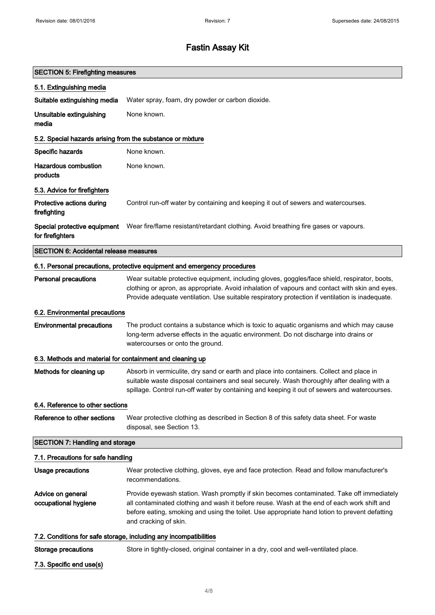| <b>SECTION 5: Firefighting measures</b>                    |                                                                                                                                                                                                                                                                                                                   |  |
|------------------------------------------------------------|-------------------------------------------------------------------------------------------------------------------------------------------------------------------------------------------------------------------------------------------------------------------------------------------------------------------|--|
| 5.1. Extinguishing media                                   |                                                                                                                                                                                                                                                                                                                   |  |
| Suitable extinguishing media                               | Water spray, foam, dry powder or carbon dioxide.                                                                                                                                                                                                                                                                  |  |
| Unsuitable extinguishing<br>media                          | None known.                                                                                                                                                                                                                                                                                                       |  |
| 5.2. Special hazards arising from the substance or mixture |                                                                                                                                                                                                                                                                                                                   |  |
| Specific hazards                                           | None known.                                                                                                                                                                                                                                                                                                       |  |
| <b>Hazardous combustion</b><br>products                    | None known.                                                                                                                                                                                                                                                                                                       |  |
| 5.3. Advice for firefighters                               |                                                                                                                                                                                                                                                                                                                   |  |
| Protective actions during<br>firefighting                  | Control run-off water by containing and keeping it out of sewers and watercourses.                                                                                                                                                                                                                                |  |
| Special protective equipment<br>for firefighters           | Wear fire/flame resistant/retardant clothing. Avoid breathing fire gases or vapours.                                                                                                                                                                                                                              |  |
| <b>SECTION 6: Accidental release measures</b>              |                                                                                                                                                                                                                                                                                                                   |  |
|                                                            | 6.1. Personal precautions, protective equipment and emergency procedures                                                                                                                                                                                                                                          |  |
| <b>Personal precautions</b>                                | Wear suitable protective equipment, including gloves, goggles/face shield, respirator, boots,<br>clothing or apron, as appropriate. Avoid inhalation of vapours and contact with skin and eyes.<br>Provide adequate ventilation. Use suitable respiratory protection if ventilation is inadequate.                |  |
| 6.2. Environmental precautions                             |                                                                                                                                                                                                                                                                                                                   |  |
| <b>Environmental precautions</b>                           | The product contains a substance which is toxic to aquatic organisms and which may cause<br>long-term adverse effects in the aquatic environment. Do not discharge into drains or<br>watercourses or onto the ground.                                                                                             |  |
| 6.3. Methods and material for containment and cleaning up  |                                                                                                                                                                                                                                                                                                                   |  |
| Methods for cleaning up                                    | Absorb in vermiculite, dry sand or earth and place into containers. Collect and place in<br>suitable waste disposal containers and seal securely. Wash thoroughly after dealing with a<br>spillage. Control run-off water by containing and keeping it out of sewers and watercourses.                            |  |
| 6.4. Reference to other sections                           |                                                                                                                                                                                                                                                                                                                   |  |
| Reference to other sections                                | Wear protective clothing as described in Section 8 of this safety data sheet. For waste<br>disposal, see Section 13.                                                                                                                                                                                              |  |
| <b>SECTION 7: Handling and storage</b>                     |                                                                                                                                                                                                                                                                                                                   |  |
| 7.1. Precautions for safe handling                         |                                                                                                                                                                                                                                                                                                                   |  |
| <b>Usage precautions</b>                                   | Wear protective clothing, gloves, eye and face protection. Read and follow manufacturer's<br>recommendations.                                                                                                                                                                                                     |  |
| Advice on general<br>occupational hygiene                  | Provide eyewash station. Wash promptly if skin becomes contaminated. Take off immediately<br>all contaminated clothing and wash it before reuse. Wash at the end of each work shift and<br>before eating, smoking and using the toilet. Use appropriate hand lotion to prevent defatting<br>and cracking of skin. |  |
|                                                            | 7.2. Conditions for safe storage, including any incompatibilities                                                                                                                                                                                                                                                 |  |
| <b>Storage precautions</b>                                 | Store in tightly-closed, original container in a dry, cool and well-ventilated place.                                                                                                                                                                                                                             |  |
| 7.3. Specific end use(s)                                   |                                                                                                                                                                                                                                                                                                                   |  |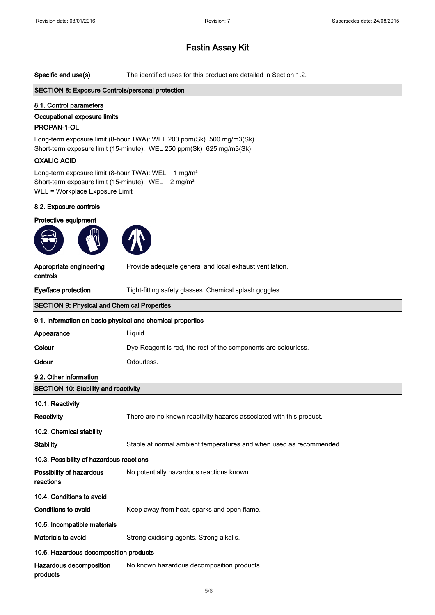Specific end use(s) The identified uses for this product are detailed in Section 1.2.

#### SECTION 8: Exposure Controls/personal protection

#### 8.1. Control parameters

# Occupational exposure limits

### PROPAN-1-OL

Long-term exposure limit (8-hour TWA): WEL 200 ppm(Sk) 500 mg/m3(Sk) Short-term exposure limit (15-minute): WEL 250 ppm(Sk) 625 mg/m3(Sk)

#### OXALIC ACID

Long-term exposure limit (8-hour TWA): WEL 1 mg/m<sup>3</sup> Short-term exposure limit (15-minute): WEL 2 mg/m<sup>3</sup> WEL = Workplace Exposure Limit

#### 8.2. Exposure controls

Protective equipment





Provide adequate general and local exhaust ventilation.

Appropriate engineering controls

Eye/face protection Tight-fitting safety glasses. Chemical splash goggles.

| <b>SECTION 9: Physical and Chemical Properties</b>         |                                                                     |
|------------------------------------------------------------|---------------------------------------------------------------------|
| 9.1. Information on basic physical and chemical properties |                                                                     |
| Appearance                                                 | Liquid.                                                             |
| Colour                                                     | Dye Reagent is red, the rest of the components are colourless.      |
| Odour                                                      | Odourless.                                                          |
| 9.2. Other information                                     |                                                                     |
| <b>SECTION 10: Stability and reactivity</b>                |                                                                     |
| 10.1. Reactivity                                           |                                                                     |
| Reactivity                                                 | There are no known reactivity hazards associated with this product. |
| 10.2. Chemical stability                                   |                                                                     |
| Stability                                                  | Stable at normal ambient temperatures and when used as recommended. |
| 10.3. Possibility of hazardous reactions                   |                                                                     |
| Possibility of hazardous<br>reactions                      | No potentially hazardous reactions known.                           |
| 10.4. Conditions to avoid                                  |                                                                     |
| <b>Conditions to avoid</b>                                 | Keep away from heat, sparks and open flame.                         |
| 10.5. Incompatible materials                               |                                                                     |
| Materials to avoid                                         | Strong oxidising agents. Strong alkalis.                            |
| 10.6. Hazardous decomposition products                     |                                                                     |
| Hazardous decomposition<br>products                        | No known hazardous decomposition products.                          |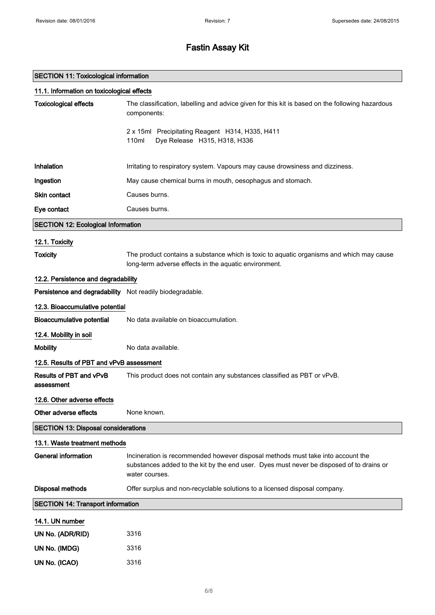### SECTION 11: Toxicological information

| 11.1. Information on toxicological effects               |                                                                                                                                                                                               |
|----------------------------------------------------------|-----------------------------------------------------------------------------------------------------------------------------------------------------------------------------------------------|
| <b>Toxicological effects</b>                             | The classification, labelling and advice given for this kit is based on the following hazardous<br>components:                                                                                |
|                                                          | 2 x 15ml Precipitating Reagent H314, H335, H411<br>110ml<br>Dye Release H315, H318, H336                                                                                                      |
| Inhalation                                               | Irritating to respiratory system. Vapours may cause drowsiness and dizziness.                                                                                                                 |
| Ingestion                                                | May cause chemical burns in mouth, oesophagus and stomach.                                                                                                                                    |
| Skin contact                                             | Causes burns.                                                                                                                                                                                 |
| Eye contact                                              | Causes burns.                                                                                                                                                                                 |
| <b>SECTION 12: Ecological Information</b>                |                                                                                                                                                                                               |
| 12.1. Toxicity                                           |                                                                                                                                                                                               |
| <b>Toxicity</b>                                          | The product contains a substance which is toxic to aquatic organisms and which may cause<br>long-term adverse effects in the aquatic environment.                                             |
| 12.2. Persistence and degradability                      |                                                                                                                                                                                               |
| Persistence and degradability Not readily biodegradable. |                                                                                                                                                                                               |
| 12.3. Bioaccumulative potential                          |                                                                                                                                                                                               |
| <b>Bioaccumulative potential</b>                         | No data available on bioaccumulation.                                                                                                                                                         |
| 12.4. Mobility in soil                                   |                                                                                                                                                                                               |
| <b>Mobility</b>                                          | No data available.                                                                                                                                                                            |
| 12.5. Results of PBT and vPvB assessment                 |                                                                                                                                                                                               |
| Results of PBT and vPvB<br>assessment                    | This product does not contain any substances classified as PBT or vPvB.                                                                                                                       |
| 12.6. Other adverse effects                              |                                                                                                                                                                                               |
| Other adverse effects                                    | None known.                                                                                                                                                                                   |
| <b>SECTION 13: Disposal considerations</b>               |                                                                                                                                                                                               |
| 13.1. Waste treatment methods                            |                                                                                                                                                                                               |
| <b>General information</b>                               | Incineration is recommended however disposal methods must take into account the<br>substances added to the kit by the end user. Dyes must never be disposed of to drains or<br>water courses. |
| <b>Disposal methods</b>                                  | Offer surplus and non-recyclable solutions to a licensed disposal company.                                                                                                                    |
| <b>SECTION 14: Transport information</b>                 |                                                                                                                                                                                               |
| 14.1. UN number                                          |                                                                                                                                                                                               |
| UN No. (ADR/RID)                                         | 3316                                                                                                                                                                                          |
| UN No. (IMDG)                                            | 3316                                                                                                                                                                                          |
| UN No. (ICAO)                                            | 3316                                                                                                                                                                                          |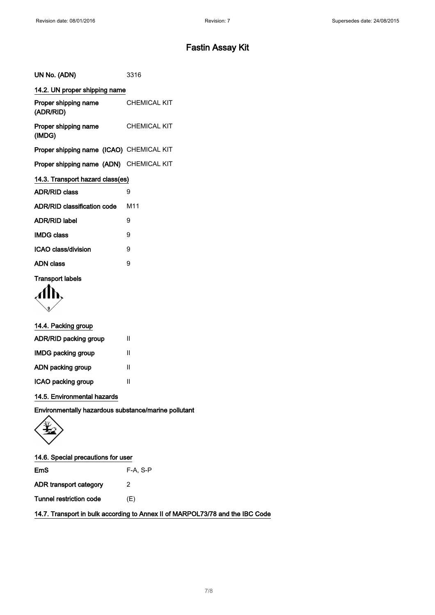| UN No. (ADN)                             | 3316                |  |
|------------------------------------------|---------------------|--|
| 14.2. UN proper shipping name            |                     |  |
| Proper shipping name<br>(ADR/RID)        | <b>CHEMICAL KIT</b> |  |
| Proper shipping name<br>(IMDG)           | <b>CHEMICAL KIT</b> |  |
| Proper shipping name (ICAO) CHEMICAL KIT |                     |  |
| Proper shipping name (ADN) CHEMICAL KIT  |                     |  |
| 14.3. Transport hazard class(es)         |                     |  |
| <b>ADR/RID class</b>                     | 9                   |  |
| <b>ADR/RID classification code</b>       | M <sub>11</sub>     |  |
| <b>ADR/RID label</b>                     | 9                   |  |
| <b>IMDG class</b>                        | 9                   |  |
| <b>ICAO class/division</b>               | 9                   |  |
| <b>ADN class</b>                         | 9                   |  |
| <b>Transport labels</b>                  |                     |  |

Alh

### 14.4. Packing group

| ADR/RID packing group     | Ш |
|---------------------------|---|
| <b>IMDG packing group</b> | Ш |
| ADN packing group         | Ш |
| ICAO packing group        | Ш |

14.5. Environmental hazards

Environmentally hazardous substance/marine pollutant



### 14.6. Special precautions for user

EmS F-A, S-P ADR transport category 2 Tunnel restriction code (E)

14.7. Transport in bulk according to Annex II of MARPOL73/78 and the IBC Code